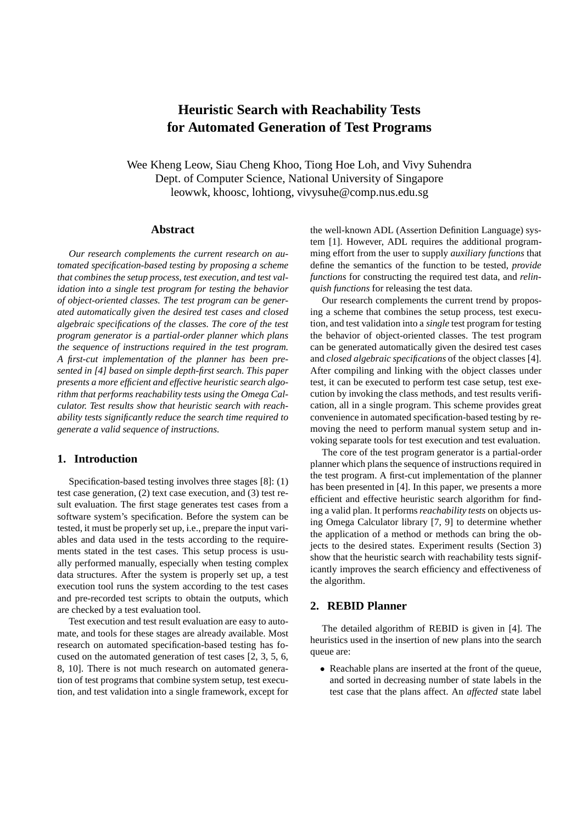# **Heuristic Search with Reachability Tests for Automated Generation of Test Programs**

Wee Kheng Leow, Siau Cheng Khoo, Tiong Hoe Loh, and Vivy Suhendra Dept. of Computer Science, National University of Singapore leowwk, khoosc, lohtiong, vivysuhe@comp.nus.edu.sg

## **Abstract**

*Our research complements the current research on automated specification-based testing by proposing a scheme that combines the setup process, test execution, and test validation into a single test program for testing the behavior of object-oriented classes. The test program can be generated automatically given the desired test cases and closed algebraic specifications of the classes. The core of the test program generator is a partial-order planner which plans the sequence of instructions required in the test program. A first-cut implementation of the planner has been presented in [4] based on simple depth-first search. This paper presents a more efficient and effective heuristic search algorithm that performs reachability tests using the Omega Calculator. Test results show that heuristic search with reachability tests significantly reduce the search time required to generate a valid sequence of instructions.*

## **1. Introduction**

Specification-based testing involves three stages [8]: (1) test case generation, (2) text case execution, and (3) test result evaluation. The first stage generates test cases from a software system's specification. Before the system can be tested, it must be properly set up, i.e., prepare the input variables and data used in the tests according to the requirements stated in the test cases. This setup process is usually performed manually, especially when testing complex data structures. After the system is properly set up, a test execution tool runs the system according to the test cases and pre-recorded test scripts to obtain the outputs, which are checked by a test evaluation tool.

Test execution and test result evaluation are easy to automate, and tools for these stages are already available. Most research on automated specification-based testing has focused on the automated generation of test cases [2, 3, 5, 6, 8, 10]. There is not much research on automated generation of test programs that combine system setup, test execution, and test validation into a single framework, except for

the well-known ADL (Assertion Definition Language) system [1]. However, ADL requires the additional programming effort from the user to supply *auxiliary functions* that define the semantics of the function to be tested, *provide functions* for constructing the required test data, and *relinquish functions* for releasing the test data.

Our research complements the current trend by proposing a scheme that combines the setup process, test execution, and test validation into a *single* test program for testing the behavior of object-oriented classes. The test program can be generated automatically given the desired test cases and *closed algebraic specifications* of the object classes [4]. After compiling and linking with the object classes under test, it can be executed to perform test case setup, test execution by invoking the class methods, and test results verification, all in a single program. This scheme provides great convenience in automated specification-based testing by removing the need to perform manual system setup and invoking separate tools for test execution and test evaluation.

The core of the test program generator is a partial-order planner which plans the sequence of instructions required in the test program. A first-cut implementation of the planner has been presented in [4]. In this paper, we presents a more efficient and effective heuristic search algorithm for finding a valid plan. It performs*reachability tests* on objects using Omega Calculator library [7, 9] to determine whether the application of a method or methods can bring the objects to the desired states. Experiment results (Section 3) show that the heuristic search with reachability tests significantly improves the search efficiency and effectiveness of the algorithm.

# **2. REBID Planner**

The detailed algorithm of REBID is given in [4]. The heuristics used in the insertion of new plans into the search queue are:

• Reachable plans are inserted at the front of the queue, and sorted in decreasing number of state labels in the test case that the plans affect. An *affected* state label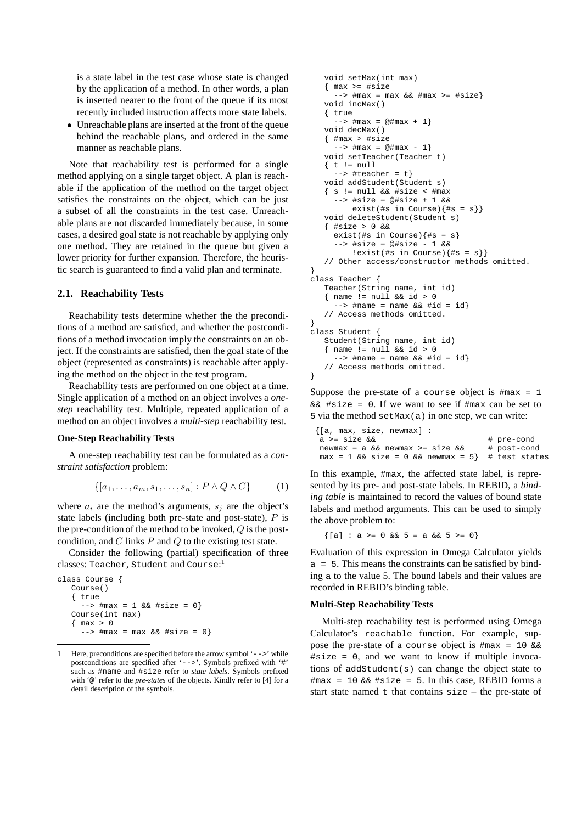is a state label in the test case whose state is changed by the application of a method. In other words, a plan is inserted nearer to the front of the queue if its most recently included instruction affects more state labels.

• Unreachable plans are inserted at the front of the queue behind the reachable plans, and ordered in the same manner as reachable plans.

Note that reachability test is performed for a single method applying on a single target object. A plan is reachable if the application of the method on the target object satisfies the constraints on the object, which can be just a subset of all the constraints in the test case. Unreachable plans are not discarded immediately because, in some cases, a desired goal state is not reachable by applying only one method. They are retained in the queue but given a lower priority for further expansion. Therefore, the heuristic search is guaranteed to find a valid plan and terminate.

## **2.1. Reachability Tests**

Reachability tests determine whether the the preconditions of a method are satisfied, and whether the postconditions of a method invocation imply the constraints on an object. If the constraints are satisfied, then the goal state of the object (represented as constraints) is reachable after applying the method on the object in the test program.

Reachability tests are performed on one object at a time. Single application of a method on an object involves a *onestep* reachability test. Multiple, repeated application of a method on an object involves a *multi-step* reachability test.

#### **One-Step Reachability Tests**

A one-step reachability test can be formulated as a *constraint satisfaction* problem:

$$
\{[a_1,\ldots,a_m,s_1,\ldots,s_n]:P\wedge Q\wedge C\}\qquad(1)
$$

where  $a_i$  are the method's arguments,  $s_i$  are the object's state labels (including both pre-state and post-state),  $P$  is the pre-condition of the method to be invoked,  $Q$  is the postcondition, and  $C$  links  $P$  and  $Q$  to the existing test state.

Consider the following (partial) specification of three classes: Teacher, Student and Course: 1

```
class Course {
   Course()
   { true
     -- #max = 1 && #size = 0}
   Course(int max)
   \{ max > 0-- #max = max && #size = 0}
```

```
void setMax(int max)
   \{ \text{max} \geq \text{+size} \}---> #max = max && #max >= #size}
   void incMax()
   { true
      -- \#max = \omega \#max + 1void decMax()
   \{ \text{ } \text{\#max} > \text{ } \text{\#size} \}--> #max = @#max - 1}
   void setTeacher(Teacher t)
   \{ t \mid t \geq \text{null} \}\leftarrow \leftarrow #teacher = t}
   void addStudent(Student s)
   \{ s := null \&\&\#size < \#max--> #size = @#size + 1 &&
          exist(#s in Course)\{#s = s\}void deleteStudent(Student s)
   { #size > 0 &&
     exist(#s in Course)\{#s = s\}--> #size = @#size - 1 &&
          !exist(\#s \in \text{Course}) {\#s = s}// Other access/constructor methods omitted.
}
class Teacher {
   Teacher(String name, int id)
   \{ name != null & \& \text{ if } > 0-- \ast #name = name && #id = id}
   // Access methods omitted.
}
class Student {
   Student(String name, int id)
   { name != null && id > 0
      -- #name = name && #id = id}
   // Access methods omitted.
}
```
Suppose the pre-state of a course object is  $\#max = 1$  $&\&$  #size = 0. If we want to see if #max can be set to 5 via the method setMax(a) in one step, we can write:

| {[a, max, size, newmax] :                                  |             |
|------------------------------------------------------------|-------------|
| a >= size &&                                               | # pre-cond  |
| newmax = a && newmax >= size &&                            | # post-cond |
| $max = 1$ & $x = 0$ & $x = 0$ & $x = 5$ $\neq$ test states |             |

In this example, #max, the affected state label, is represented by its pre- and post-state labels. In REBID, a *binding table* is maintained to record the values of bound state labels and method arguments. This can be used to simply the above problem to:

 $\{[a] : a > = 0 \& c \leq 5 = a \& c \leq 5 > = 0\}$ 

Evaluation of this expression in Omega Calculator yields a = 5. This means the constraints can be satisfied by binding a to the value 5. The bound labels and their values are recorded in REBID's binding table.

#### **Multi-Step Reachability Tests**

Multi-step reachability test is performed using Omega Calculator's reachable function. For example, suppose the pre-state of a course object is #max = 10 &&  $\#size = 0$ , and we want to know if multiple invocations of addStudent $(s)$  can change the object state to  $\text{Imax} = 10$  &  $\text{Lize} = 5$ . In this case, REBID forms a start state named  $\pm$  that contains  $size$  – the pre-state of

<sup>1</sup> Here, preconditions are specified before the arrow symbol '-->' while postconditions are specified after '-->'. Symbols prefixed with '#' such as #name and #size refer to *state labels*. Symbols prefixed with '@' refer to the *pre-states* of the objects. Kindly refer to [4] for a detail description of the symbols.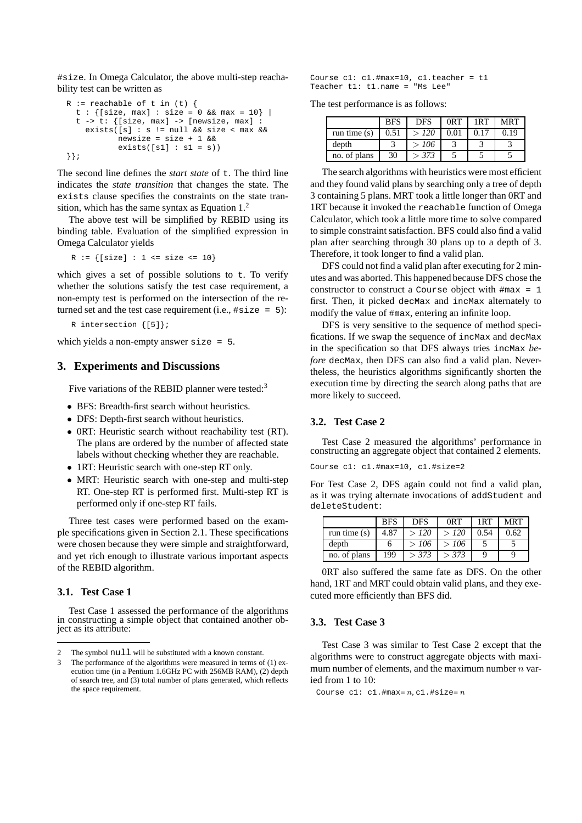#size. In Omega Calculator, the above multi-step reachability test can be written as

```
R := reachable of t in (t) {
  t : \{[\text{size, max}] : \text{size} = 0 \& \text{max} = 10\}t -> t: \{[\text{size, max}] -> [\text{newsize, max}] :
    exists([s] : s := null & size < max & &
            newsize = size + 1 &&
             exists([s1]: sl = s))}};
```
The second line defines the *start state* of  $\pm$ . The third line indicates the *state transition* that changes the state. The exists clause specifies the constraints on the state transition, which has the same syntax as Equation 1.<sup>2</sup>

The above test will be simplified by REBID using its binding table. Evaluation of the simplified expression in Omega Calculator yields

 $R := \{ [size] : 1 \leq size \leq 10 \}$ 

which gives a set of possible solutions to  $t$ . To verify whether the solutions satisfy the test case requirement, a non-empty test is performed on the intersection of the returned set and the test case requirement (i.e.,  $\#size = 5$ ):

R intersection {[5]};

which yields a non-empty answer size = 5.

### **3. Experiments and Discussions**

Five variations of the REBID planner were tested:<sup>3</sup>

- BFS: Breadth-first search without heuristics.
- DFS: Depth-first search without heuristics.
- 0RT: Heuristic search without reachability test (RT). The plans are ordered by the number of affected state labels without checking whether they are reachable.
- 1RT: Heuristic search with one-step RT only.
- MRT: Heuristic search with one-step and multi-step RT. One-step RT is performed first. Multi-step RT is performed only if one-step RT fails.

Three test cases were performed based on the example specifications given in Section 2.1. These specifications were chosen because they were simple and straightforward, and yet rich enough to illustrate various important aspects of the REBID algorithm.

#### **3.1. Test Case 1**

Test Case 1 assessed the performance of the algorithms in constructing a simple object that contained another object as its attribute:

Course  $c1: c1.$ #max=10,  $c1.$ teacher = t1 Teacher t1: t1.name = "Ms Lee"

The test performance is as follows:

|                | <b>BFS</b> | <b>DFS</b> | 0 <sub>R</sub> T | 1RT | <b>MRT</b> |
|----------------|------------|------------|------------------|-----|------------|
| run time $(s)$ | 0.51       | > 120      | 0.01             |     | 0.19       |
| depth          |            | >106       |                  |     |            |
| no. of plans   | 30         | > 373      |                  |     |            |

The search algorithms with heuristics were most efficient and they found valid plans by searching only a tree of depth 3 containing 5 plans. MRT took a little longer than 0RT and 1RT because it invoked the reachable function of Omega Calculator, which took a little more time to solve compared to simple constraint satisfaction. BFS could also find a valid plan after searching through 30 plans up to a depth of 3. Therefore, it took longer to find a valid plan.

DFS could not find a valid plan after executing for 2 minutes and was aborted. This happened because DFS chose the constructor to construct a Course object with  $\#max = 1$ first. Then, it picked decMax and incMax alternately to modify the value of #max, entering an infinite loop.

DFS is very sensitive to the sequence of method specifications. If we swap the sequence of incMax and decMax in the specification so that DFS always tries incMax *before* decMax, then DFS can also find a valid plan. Nevertheless, the heuristics algorithms significantly shorten the execution time by directing the search along paths that are more likely to succeed.

## **3.2. Test Case 2**

Test Case 2 measured the algorithms' performance in constructing an aggregate object that contained 2 elements.

Course c1: c1.#max=10, c1.#size=2

For Test Case 2, DFS again could not find a valid plan, as it was trying alternate invocations of addStudent and deleteStudent:

|                | <b>BFS</b> | <b>DFS</b> | 0 <sub>R</sub> T | 1RT  | <b>MRT</b> |
|----------------|------------|------------|------------------|------|------------|
| run time $(s)$ | 4.87       | > 120      | > 120            | 0.54 | 0.62       |
| depth          |            | >106       | >106             |      |            |
| no. of plans   | 199        | > 373      | > 373            |      |            |

0RT also suffered the same fate as DFS. On the other hand, 1RT and MRT could obtain valid plans, and they executed more efficiently than BFS did.

#### **3.3. Test Case 3**

Test Case 3 was similar to Test Case 2 except that the algorithms were to construct aggregate objects with maximum number of elements, and the maximum number  $n$  varied from 1 to 10:

Course  $c1: c1.$ #max=  $n, c1.$ #size=  $n$ 

<sup>2</sup> The symbol null will be substituted with a known constant.

<sup>3</sup> The performance of the algorithms were measured in terms of (1) execution time (in a Pentium 1.6GHz PC with 256MB RAM), (2) depth of search tree, and (3) total number of plans generated, which reflects the space requirement.